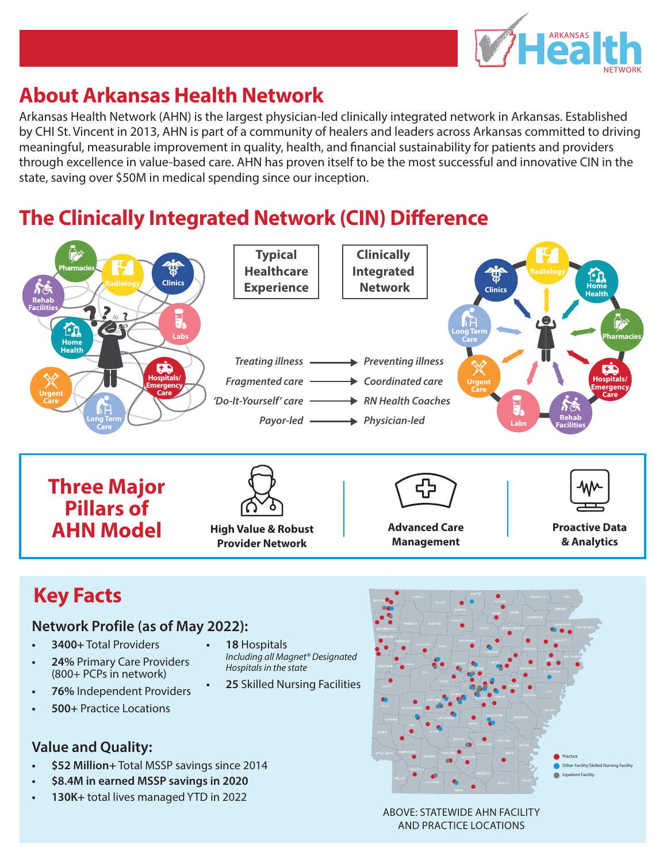

## **About Arkansas Health Network**

Arkansas Health Network (AHN) is the largest physician-led clinically integrated network in Arkansas. Established by CHI St. Vincent in 2013, AHN is part of a community of healers and leaders across Arkansas committed to driving meaningful, measurable improvement in quality, health, and financial sustainability for patients and providers through excellence in value-based care. AHN has proven itself to be the most successful and innovative CIN in the state, saving over \$50M in medical spending since our inception.

# **The Clinically Integrated Network (CIN) Difference**

**• 18** Hospitals

*Hospitals in the state*

*Including all Magnet® Designated* 



# **Key Facts**

#### **Network Profile (as of May 2022):**

- **• 3400+** Total Providers
- **• 24%** Primary Care Providers (800+ PCPs in network)
- **• 76%** Independent Providers
- **• 500+** Practice Locations
- **Value and Quality:**
- **• \$52 Million+** Total MSSP savings since 2014
- **• \$8.4M in earned MSSP savings in 2020**
- **• 130K+** total lives managed YTD in 2022



#### ABOVE: STATEWIDE AHN FACILITY AND PRACTICE LOCATIONS